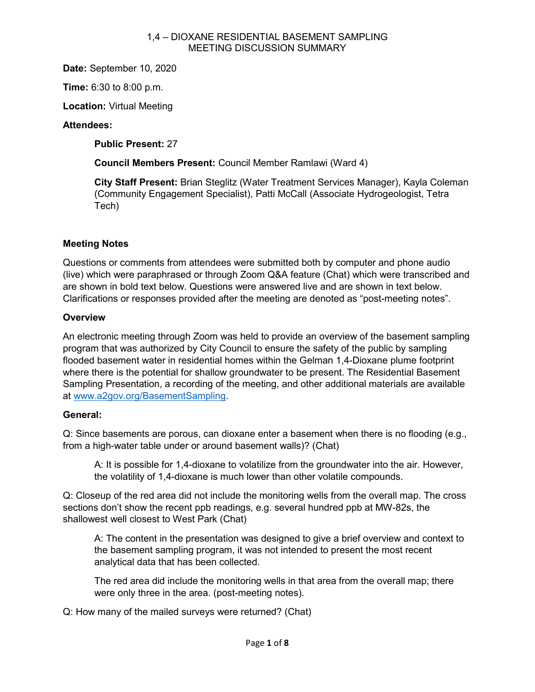**Date:** September 10, 2020

**Time:** 6:30 to 8:00 p.m.

**Location:** Virtual Meeting

## **Attendees:**

**Public Present:** 27

**Council Members Present:** Council Member Ramlawi (Ward 4)

**City Staff Present:** Brian Steglitz (Water Treatment Services Manager), Kayla Coleman (Community Engagement Specialist), Patti McCall (Associate Hydrogeologist, Tetra Tech)

## **Meeting Notes**

Questions or comments from attendees were submitted both by computer and phone audio (live) which were paraphrased or through Zoom Q&A feature (Chat) which were transcribed and are shown in bold text below. Questions were answered live and are shown in text below. Clarifications or responses provided after the meeting are denoted as "post-meeting notes".

## **Overview**

An electronic meeting through Zoom was held to provide an overview of the basement sampling program that was authorized by City Council to ensure the safety of the public by sampling flooded basement water in residential homes within the Gelman 1,4-Dioxane plume footprint where there is the potential for shallow groundwater to be present. The Residential Basement Sampling Presentation, a recording of the meeting, and other additional materials are available at [www.a2gov.org/BasementSampling.](http://www.a2gov.org/BasementSampling)

### **General:**

Q: Since basements are porous, can dioxane enter a basement when there is no flooding (e.g., from a high-water table under or around basement walls)? (Chat)

A: It is possible for 1,4-dioxane to volatilize from the groundwater into the air. However, the volatility of 1,4-dioxane is much lower than other volatile compounds.

Q: Closeup of the red area did not include the monitoring wells from the overall map. The cross sections don't show the recent ppb readings, e.g. several hundred ppb at MW-82s, the shallowest well closest to West Park (Chat)

A: The content in the presentation was designed to give a brief overview and context to the basement sampling program, it was not intended to present the most recent analytical data that has been collected.

The red area did include the monitoring wells in that area from the overall map; there were only three in the area. (post-meeting notes).

Q: How many of the mailed surveys were returned? (Chat)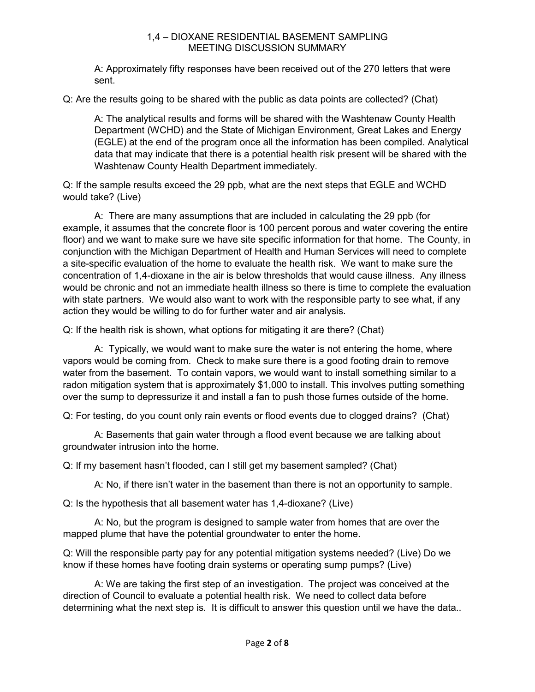A: Approximately fifty responses have been received out of the 270 letters that were sent.

Q: Are the results going to be shared with the public as data points are collected? (Chat)

A: The analytical results and forms will be shared with the Washtenaw County Health Department (WCHD) and the State of Michigan Environment, Great Lakes and Energy (EGLE) at the end of the program once all the information has been compiled. Analytical data that may indicate that there is a potential health risk present will be shared with the Washtenaw County Health Department immediately.

Q: If the sample results exceed the 29 ppb, what are the next steps that EGLE and WCHD would take? (Live)

A: There are many assumptions that are included in calculating the 29 ppb (for example, it assumes that the concrete floor is 100 percent porous and water covering the entire floor) and we want to make sure we have site specific information for that home. The County, in conjunction with the Michigan Department of Health and Human Services will need to complete a site-specific evaluation of the home to evaluate the health risk. We want to make sure the concentration of 1,4-dioxane in the air is below thresholds that would cause illness. Any illness would be chronic and not an immediate health illness so there is time to complete the evaluation with state partners. We would also want to work with the responsible party to see what, if any action they would be willing to do for further water and air analysis.

Q: If the health risk is shown, what options for mitigating it are there? (Chat)

A: Typically, we would want to make sure the water is not entering the home, where vapors would be coming from. Check to make sure there is a good footing drain to remove water from the basement. To contain vapors, we would want to install something similar to a radon mitigation system that is approximately \$1,000 to install. This involves putting something over the sump to depressurize it and install a fan to push those fumes outside of the home.

Q: For testing, do you count only rain events or flood events due to clogged drains? (Chat)

A: Basements that gain water through a flood event because we are talking about groundwater intrusion into the home.

Q: If my basement hasn't flooded, can I still get my basement sampled? (Chat)

A: No, if there isn't water in the basement than there is not an opportunity to sample.

Q: Is the hypothesis that all basement water has 1,4-dioxane? (Live)

A: No, but the program is designed to sample water from homes that are over the mapped plume that have the potential groundwater to enter the home.

Q: Will the responsible party pay for any potential mitigation systems needed? (Live) Do we know if these homes have footing drain systems or operating sump pumps? (Live)

A: We are taking the first step of an investigation. The project was conceived at the direction of Council to evaluate a potential health risk. We need to collect data before determining what the next step is. It is difficult to answer this question until we have the data..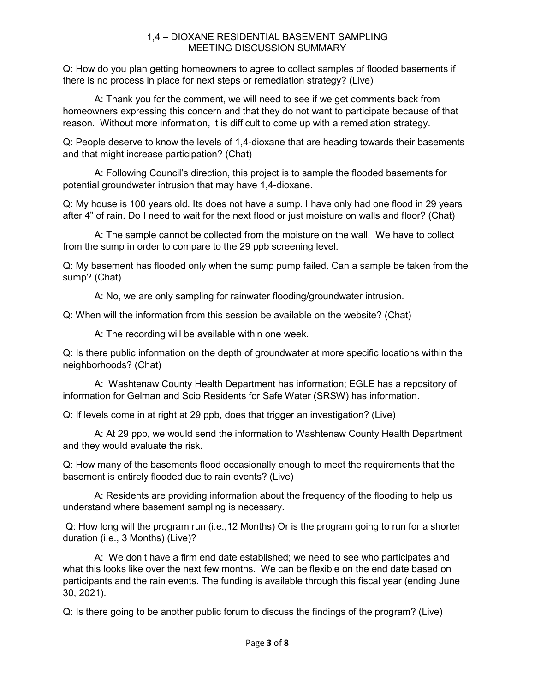Q: How do you plan getting homeowners to agree to collect samples of flooded basements if there is no process in place for next steps or remediation strategy? (Live)

A: Thank you for the comment, we will need to see if we get comments back from homeowners expressing this concern and that they do not want to participate because of that reason. Without more information, it is difficult to come up with a remediation strategy.

Q: People deserve to know the levels of 1,4-dioxane that are heading towards their basements and that might increase participation? (Chat)

A: Following Council's direction, this project is to sample the flooded basements for potential groundwater intrusion that may have 1,4-dioxane.

Q: My house is 100 years old. Its does not have a sump. I have only had one flood in 29 years after 4" of rain. Do I need to wait for the next flood or just moisture on walls and floor? (Chat)

A: The sample cannot be collected from the moisture on the wall. We have to collect from the sump in order to compare to the 29 ppb screening level.

Q: My basement has flooded only when the sump pump failed. Can a sample be taken from the sump? (Chat)

A: No, we are only sampling for rainwater flooding/groundwater intrusion.

Q: When will the information from this session be available on the website? (Chat)

A: The recording will be available within one week.

Q: Is there public information on the depth of groundwater at more specific locations within the neighborhoods? (Chat)

A: Washtenaw County Health Department has information; EGLE has a repository of information for Gelman and Scio Residents for Safe Water (SRSW) has information.

Q: If levels come in at right at 29 ppb, does that trigger an investigation? (Live)

A: At 29 ppb, we would send the information to Washtenaw County Health Department and they would evaluate the risk.

Q: How many of the basements flood occasionally enough to meet the requirements that the basement is entirely flooded due to rain events? (Live)

A: Residents are providing information about the frequency of the flooding to help us understand where basement sampling is necessary.

Q: How long will the program run (i.e.,12 Months) Or is the program going to run for a shorter duration (i.e., 3 Months) (Live)?

A: We don't have a firm end date established; we need to see who participates and what this looks like over the next few months. We can be flexible on the end date based on participants and the rain events. The funding is available through this fiscal year (ending June 30, 2021).

Q: Is there going to be another public forum to discuss the findings of the program? (Live)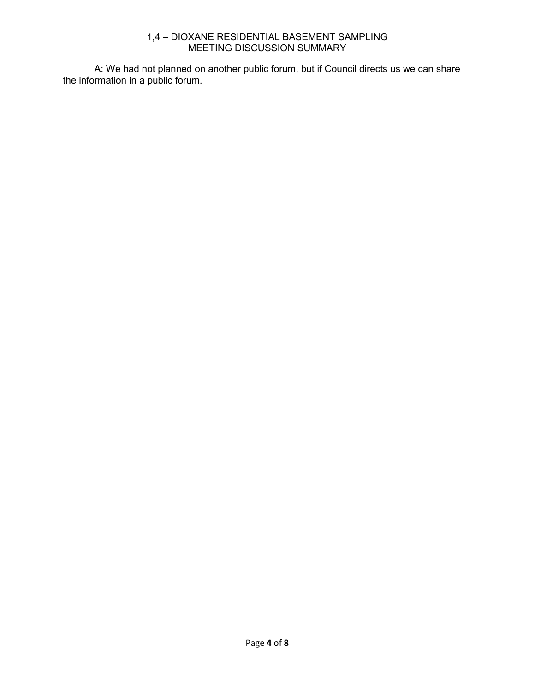A: We had not planned on another public forum, but if Council directs us we can share the information in a public forum.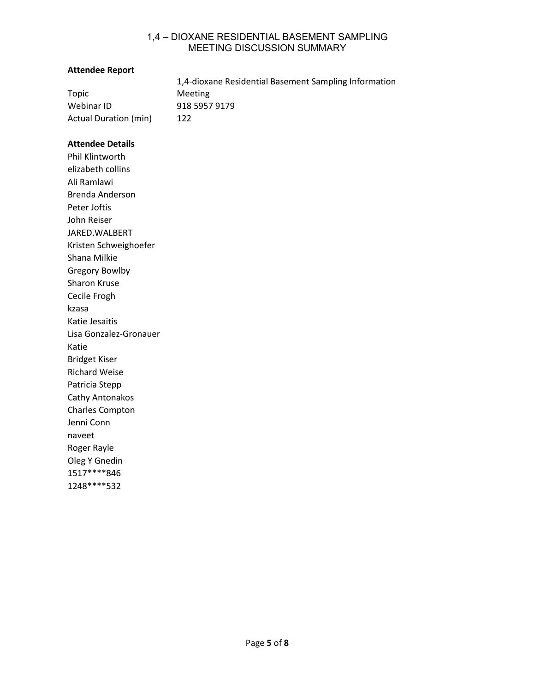#### **Attendee Report**

|                       | 1,4-dioxane Residential Basement Sampling Information |
|-----------------------|-------------------------------------------------------|
| Topic                 | Meeting                                               |
| Webinar ID            | 918 5957 9179                                         |
| Actual Duration (min) | 122                                                   |

#### **Attendee Details**

Phil Klintworth elizabeth collins Ali Ramlawi Brenda Anderson Peter Joftis John Reiser JARED.WALBERT Kristen Schweighoefer Shana Milkie Gregory Bowlby Sharon Kruse Cecile Frogh kzasa Katie Jesaitis Lisa Gonzalez-Gronauer Katie Bridget Kiser Richard Weise Patricia Stepp Cathy Antonakos Charles Compton Jenni Conn naveet Roger Rayle Oleg Y Gnedin 1517\*\*\*\*846 1248\*\*\*\*532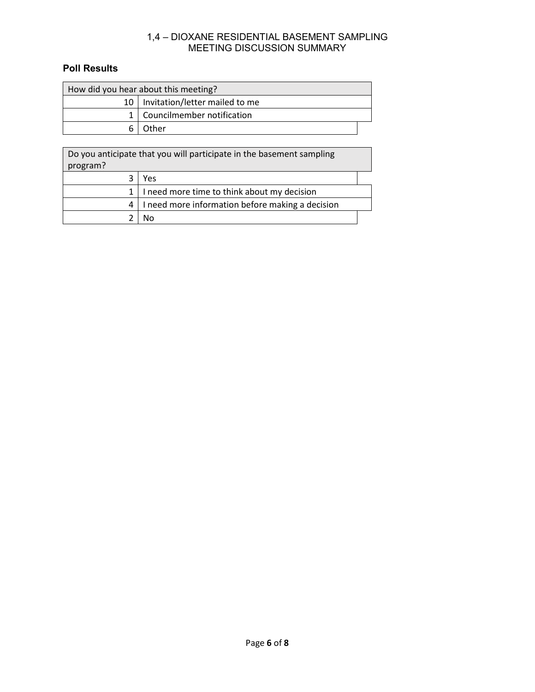# **Poll Results**

| How did you hear about this meeting? |                                     |  |
|--------------------------------------|-------------------------------------|--|
|                                      | 10   Invitation/letter mailed to me |  |
|                                      | 1   Councilmember notification      |  |
|                                      | Other                               |  |

| Do you anticipate that you will participate in the basement sampling<br>program? |                                                  |  |
|----------------------------------------------------------------------------------|--------------------------------------------------|--|
|                                                                                  | Yes                                              |  |
|                                                                                  | I need more time to think about my decision      |  |
|                                                                                  | I need more information before making a decision |  |
|                                                                                  |                                                  |  |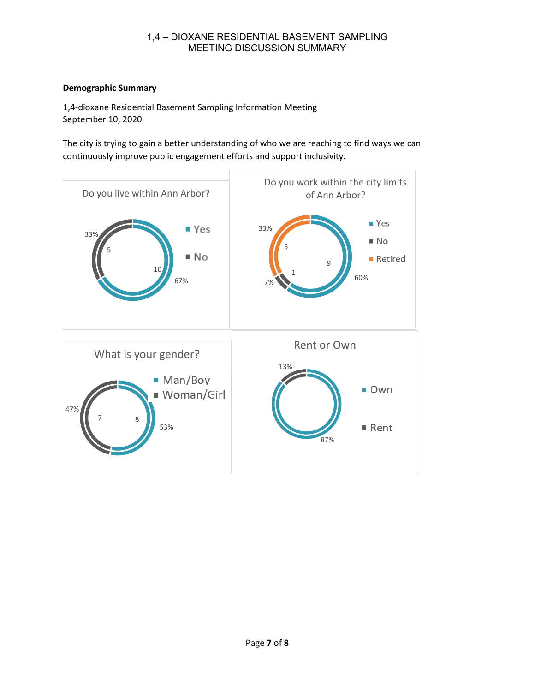## **Demographic Summary**

1,4-dioxane Residential Basement Sampling Information Meeting September 10, 2020

The city is trying to gain a better understanding of who we are reaching to find ways we can continuously improve public engagement efforts and support inclusivity.